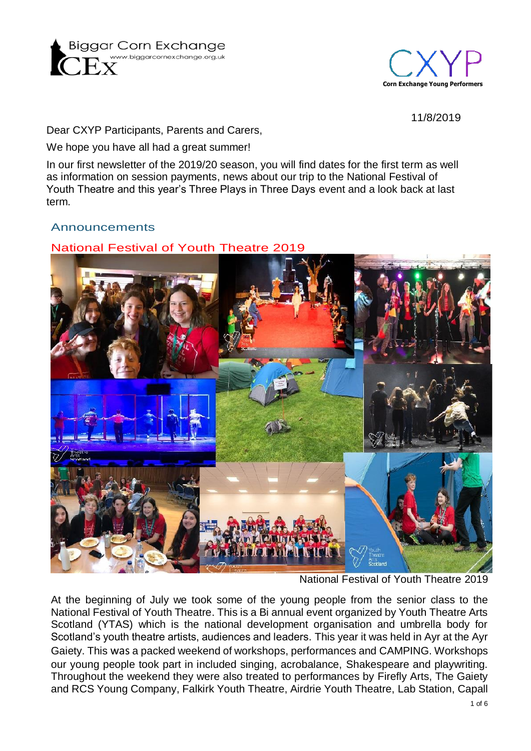



11/8/2019

Dear CXYP Participants, Parents and Carers,

We hope you have all had a great summer!

In our first newsletter of the 2019/20 season, you will find dates for the first term as well as information on session payments, news about our trip to the National Festival of Youth Theatre and this year's Three Plays in Three Days event and a look back at last term.

### Announcements

National Festival of Youth Theatre 2019



National Festival of Youth Theatre 2019

At the beginning of July we took some of the young people from the senior class to the National Festival of Youth Theatre. This is a Bi annual event organized by Youth Theatre Arts Scotland (YTAS) which is the national development organisation and umbrella body for Scotland's youth theatre artists, audiences and leaders. This year it was held in Ayr at the Ayr Gaiety. This was a packed weekend of workshops, performances and CAMPING. Workshops our young people took part in included singing, acrobalance, Shakespeare and playwriting. Throughout the weekend they were also treated to performances by Firefly Arts, The Gaiety and RCS Young Company, Falkirk Youth Theatre, Airdrie Youth Theatre, Lab Station, Capall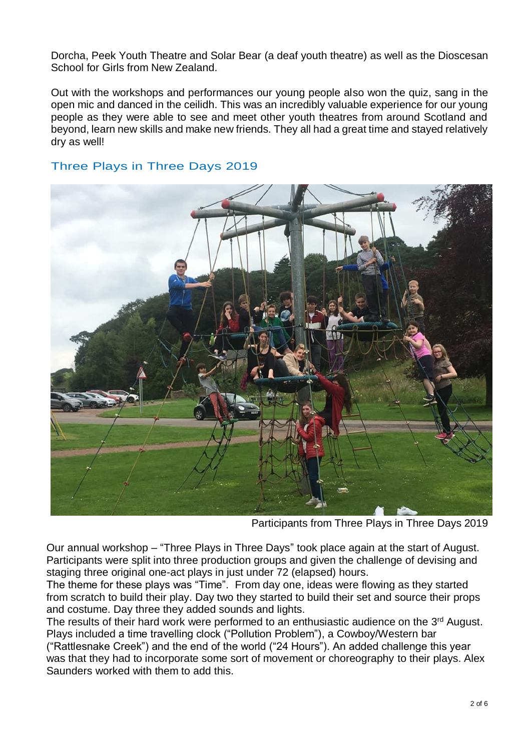Dorcha, Peek Youth Theatre and Solar Bear (a deaf youth theatre) as well as the Dioscesan School for Girls from New Zealand.

Out with the workshops and performances our young people also won the quiz, sang in the open mic and danced in the ceilidh. This was an incredibly valuable experience for our young people as they were able to see and meet other youth theatres from around Scotland and beyond, learn new skills and make new friends. They all had a great time and stayed relatively dry as well!

## Three Plays in Three Days 2019



Participants from Three Plays in Three Days 2019

Our annual workshop – "Three Plays in Three Days" took place again at the start of August. Participants were split into three production groups and given the challenge of devising and staging three original one-act plays in just under 72 (elapsed) hours.

The theme for these plays was "Time". From day one, ideas were flowing as they started from scratch to build their play. Day two they started to build their set and source their props and costume. Day three they added sounds and lights.

The results of their hard work were performed to an enthusiastic audience on the 3<sup>rd</sup> August. Plays included a time travelling clock ("Pollution Problem"), a Cowboy/Western bar ("Rattlesnake Creek") and the end of the world ("24 Hours"). An added challenge this year

was that they had to incorporate some sort of movement or choreography to their plays. Alex Saunders worked with them to add this.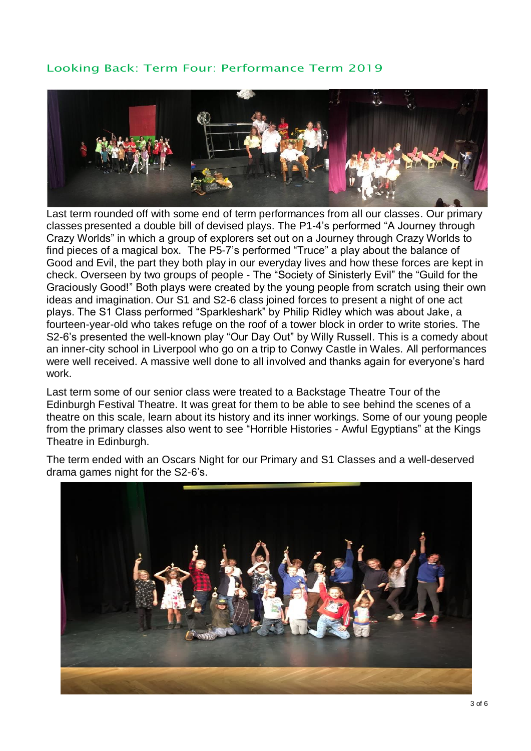# Looking Back: Term Four: Performance Term 2019



Last term rounded off with some end of term performances from all our classes. Our primary classes presented a double bill of devised plays. The P1-4's performed "A Journey through Crazy Worlds" in which a group of explorers set out on a Journey through Crazy Worlds to find pieces of a magical box. The P5-7's performed "Truce" a play about the balance of Good and Evil, the part they both play in our everyday lives and how these forces are kept in check. Overseen by two groups of people - The "Society of Sinisterly Evil" the "Guild for the Graciously Good!" Both plays were created by the young people from scratch using their own ideas and imagination. Our S1 and S2-6 class joined forces to present a night of one act plays. The S1 Class performed "Sparkleshark" by Philip Ridley which was about Jake, a fourteen-year-old who takes refuge on the roof of a tower block in order to write stories. The S2-6's presented the well-known play "Our Day Out" by Willy Russell. This is a comedy about an inner-city school in Liverpool who go on a trip to Conwy Castle in Wales. All performances were well received. A massive well done to all involved and thanks again for everyone's hard work.

Last term some of our senior class were treated to a Backstage Theatre Tour of the Edinburgh Festival Theatre. It was great for them to be able to see behind the scenes of a theatre on this scale, learn about its history and its inner workings. Some of our young people from the primary classes also went to see "Horrible Histories - Awful Egyptians" at the Kings Theatre in Edinburgh.

The term ended with an Oscars Night for our Primary and S1 Classes and a well-deserved drama games night for the S2-6's.

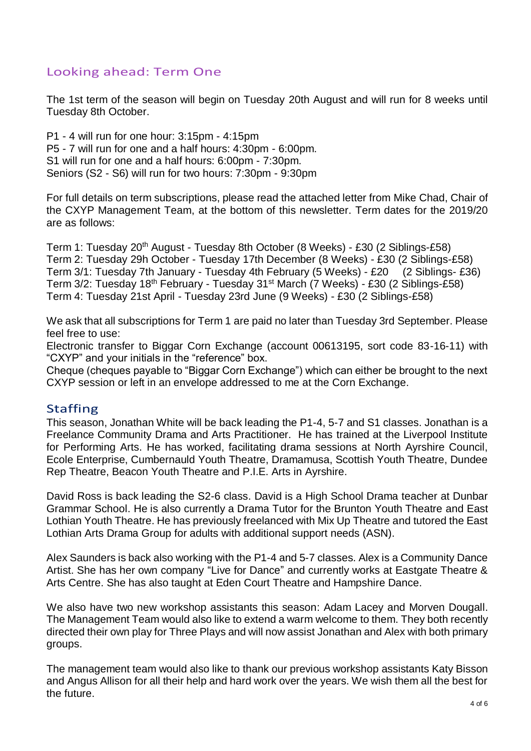# Looking ahead: Term One

The 1st term of the season will begin on Tuesday 20th August and will run for 8 weeks until Tuesday 8th October.

P1 - 4 will run for one hour: 3:15pm - 4:15pm P5 - 7 will run for one and a half hours: 4:30pm - 6:00pm. S1 will run for one and a half hours: 6:00pm - 7:30pm. Seniors (S2 - S6) will run for two hours: 7:30pm - 9:30pm

For full details on term subscriptions, please read the attached letter from Mike Chad, Chair of the CXYP Management Team, at the bottom of this newsletter. Term dates for the 2019/20 are as follows:

Term 1: Tuesday 20<sup>th</sup> August - Tuesday 8th October (8 Weeks) - £30 (2 Siblings-£58) Term 2: Tuesday 29h October - Tuesday 17th December (8 Weeks) - £30 (2 Siblings-£58) Term 3/1: Tuesday 7th January - Tuesday 4th February (5 Weeks) - £20 (2 Siblings- £36) Term 3/2: Tuesday 18th February - Tuesday 31st March (7 Weeks) - £30 (2 Siblings-£58) Term 4: Tuesday 21st April - Tuesday 23rd June (9 Weeks) - £30 (2 Siblings-£58)

We ask that all subscriptions for Term 1 are paid no later than Tuesday 3rd September. Please feel free to use:

Electronic transfer to Biggar Corn Exchange (account 00613195, sort code 83-16-11) with "CXYP" and your initials in the "reference" box.

Cheque (cheques payable to "Biggar Corn Exchange") which can either be brought to the next CXYP session or left in an envelope addressed to me at the Corn Exchange.

### Staffing

This season, Jonathan White will be back leading the P1-4, 5-7 and S1 classes. Jonathan is a Freelance Community Drama and Arts Practitioner. He has trained at the Liverpool Institute for Performing Arts. He has worked, facilitating drama sessions at North Ayrshire Council, Ecole Enterprise, Cumbernauld Youth Theatre, Dramamusa, Scottish Youth Theatre, Dundee Rep Theatre, Beacon Youth Theatre and P.I.E. Arts in Ayrshire.

David Ross is back leading the S2-6 class. David is a High School Drama teacher at Dunbar Grammar School. He is also currently a Drama Tutor for the Brunton Youth Theatre and East Lothian Youth Theatre. He has previously freelanced with Mix Up Theatre and tutored the East Lothian Arts Drama Group for adults with additional support needs (ASN).

Alex Saunders is back also working with the P1-4 and 5-7 classes. Alex is a Community Dance Artist. She has her own company "Live for Dance" and currently works at Eastgate Theatre & Arts Centre. She has also taught at Eden Court Theatre and Hampshire Dance.

We also have two new workshop assistants this season: Adam Lacey and Morven Dougall. The Management Team would also like to extend a warm welcome to them. They both recently directed their own play for Three Plays and will now assist Jonathan and Alex with both primary groups.

The management team would also like to thank our previous workshop assistants Katy Bisson and Angus Allison for all their help and hard work over the years. We wish them all the best for the future.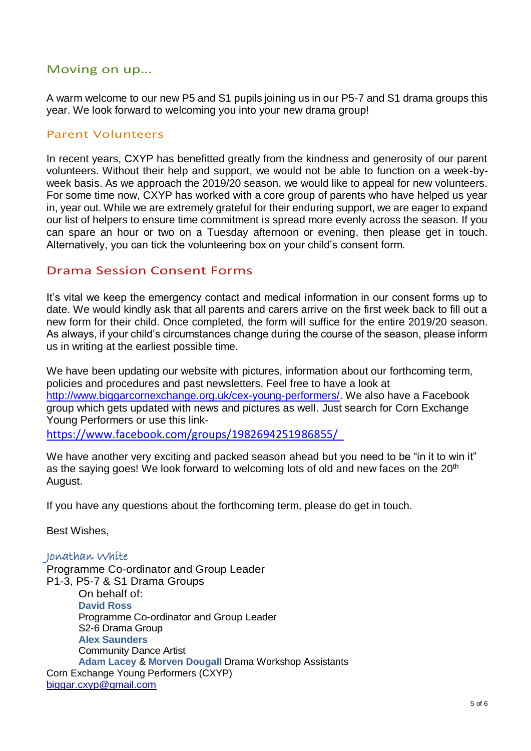## Moving on up…

A warm welcome to our new P5 and S1 pupils joining us in our P5-7 and S1 drama groups this year. We look forward to welcoming you into your new drama group!

#### Parent Volunteers

In recent years, CXYP has benefitted greatly from the kindness and generosity of our parent volunteers. Without their help and support, we would not be able to function on a week-byweek basis. As we approach the 2019/20 season, we would like to appeal for new volunteers. For some time now, CXYP has worked with a core group of parents who have helped us year in, year out. While we are extremely grateful for their enduring support, we are eager to expand our list of helpers to ensure time commitment is spread more evenly across the season. If you can spare an hour or two on a Tuesday afternoon or evening, then please get in touch. Alternatively, you can tick the volunteering box on your child's consent form.

#### Drama Session Consent Forms

It's vital we keep the emergency contact and medical information in our consent forms up to date. We would kindly ask that all parents and carers arrive on the first week back to fill out a new form for their child. Once completed, the form will suffice for the entire 2019/20 season. As always, if your child's circumstances change during the course of the season, please inform us in writing at the earliest possible time.

We have been updating our website with pictures, information about our forthcoming term, policies and procedures and past newsletters. Feel free to have a look at [http://www.biggarcornexchange.org.uk/cex-young-performers/.](http://www.biggarcornexchange.org.uk/cex-young-performers/) We also have a Facebook group which gets updated with news and pictures as well. Just search for Corn Exchange Young Performers or use this link-

<https://www.facebook.com/groups/1982694251986855/>

We have another very exciting and packed season ahead but you need to be "in it to win it" as the saying goes! We look forward to welcoming lots of old and new faces on the 20<sup>th</sup> August.

If you have any questions about the forthcoming term, please do get in touch.

Best Wishes,

#### Jonathan White

Programme Co-ordinator and Group Leader P1-3, P5-7 & S1 Drama Groups On behalf of: **David Ross** Programme Co-ordinator and Group Leader S2-6 Drama Group **Alex Saunders** Community Dance Artist **Adam Lacey** & **Morven Dougall** Drama Workshop Assistants Corn Exchange Young Performers (CXYP) [biggar](mailto:biggar.cxyp@gmail.com)[.cxyp@gmail.com](mailto:.cxyp@gmail.com)